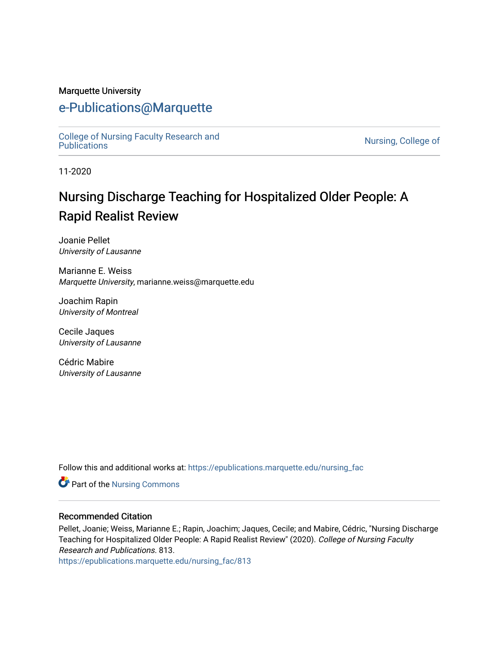#### Marquette University

## [e-Publications@Marquette](https://epublications.marquette.edu/)

[College of Nursing Faculty Research and](https://epublications.marquette.edu/nursing_fac)<br>Publications

Nursing, College of

11-2020

# Nursing Discharge Teaching for Hospitalized Older People: A Rapid Realist Review

Joanie Pellet University of Lausanne

Marianne E. Weiss Marquette University, marianne.weiss@marquette.edu

Joachim Rapin University of Montreal

Cecile Jaques University of Lausanne

Cédric Mabire University of Lausanne

Follow this and additional works at: [https://epublications.marquette.edu/nursing\\_fac](https://epublications.marquette.edu/nursing_fac?utm_source=epublications.marquette.edu%2Fnursing_fac%2F813&utm_medium=PDF&utm_campaign=PDFCoverPages)

Part of the [Nursing Commons](http://network.bepress.com/hgg/discipline/718?utm_source=epublications.marquette.edu%2Fnursing_fac%2F813&utm_medium=PDF&utm_campaign=PDFCoverPages) 

#### Recommended Citation

Pellet, Joanie; Weiss, Marianne E.; Rapin, Joachim; Jaques, Cecile; and Mabire, Cédric, "Nursing Discharge Teaching for Hospitalized Older People: A Rapid Realist Review" (2020). College of Nursing Faculty Research and Publications. 813.

[https://epublications.marquette.edu/nursing\\_fac/813](https://epublications.marquette.edu/nursing_fac/813?utm_source=epublications.marquette.edu%2Fnursing_fac%2F813&utm_medium=PDF&utm_campaign=PDFCoverPages)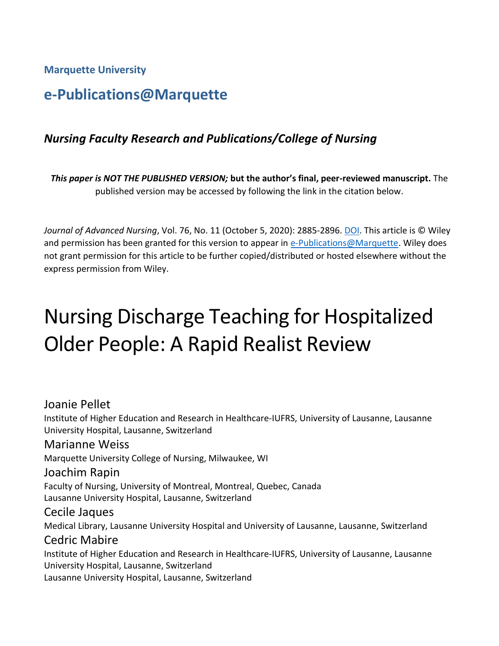**Marquette University**

# **e-Publications@Marquette**

## *Nursing Faculty Research and Publications/College of Nursing*

*This paper is NOT THE PUBLISHED VERSION;* **but the author's final, peer-reviewed manuscript.** The published version may be accessed by following the link in the citation below.

*Journal of Advanced Nursing*, Vol. 76, No. 11 (October 5, 2020): 2885-2896[. DOI.](https://doi.org/10.1111/jan.14511) This article is © Wiley and permission has been granted for this version to appear in [e-Publications@Marquette.](http://epublications.marquette.edu/) Wiley does not grant permission for this article to be further copied/distributed or hosted elsewhere without the express permission from Wiley.

# Nursing Discharge Teaching for Hospitalized Older People: A Rapid Realist Review

#### Joanie Pellet

Institute of Higher Education and Research in Healthcare‐IUFRS, University of Lausanne, Lausanne University Hospital, Lausanne, Switzerland

#### Marianne Weiss

Marquette University College of Nursing, Milwaukee, WI

#### Joachim Rapin

Faculty of Nursing, University of Montreal, Montreal, Quebec, Canada Lausanne University Hospital, Lausanne, Switzerland

#### Cecile Jaques

Medical Library, Lausanne University Hospital and University of Lausanne, Lausanne, Switzerland

#### Cedric Mabire

Institute of Higher Education and Research in Healthcare‐IUFRS, University of Lausanne, Lausanne University Hospital, Lausanne, Switzerland

Lausanne University Hospital, Lausanne, Switzerland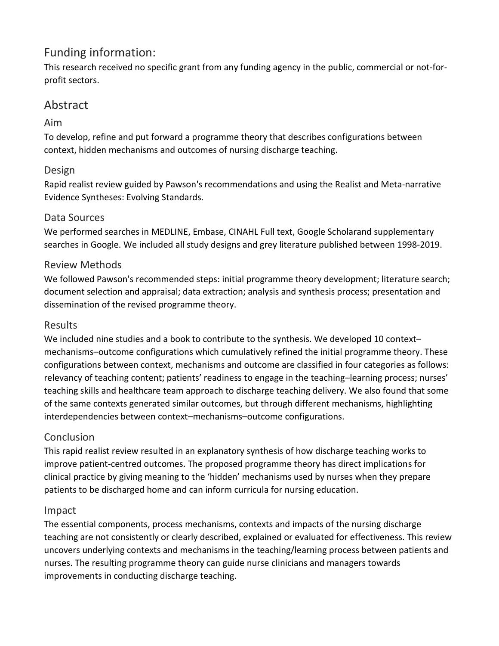## Funding information:

This research received no specific grant from any funding agency in the public, commercial or not‐for‐ profit sectors.

## Abstract

#### Aim

To develop, refine and put forward a programme theory that describes configurations between context, hidden mechanisms and outcomes of nursing discharge teaching.

#### Design

Rapid realist review guided by Pawson's recommendations and using the Realist and Meta‐narrative Evidence Syntheses: Evolving Standards.

#### Data Sources

We performed searches in MEDLINE, Embase, CINAHL Full text, Google Scholarand supplementary searches in Google. We included all study designs and grey literature published between 1998‐2019.

#### Review Methods

We followed Pawson's recommended steps: initial programme theory development; literature search; document selection and appraisal; data extraction; analysis and synthesis process; presentation and dissemination of the revised programme theory.

#### Results

We included nine studies and a book to contribute to the synthesis. We developed 10 context– mechanisms–outcome configurations which cumulatively refined the initial programme theory. These configurations between context, mechanisms and outcome are classified in four categories as follows: relevancy of teaching content; patients' readiness to engage in the teaching–learning process; nurses' teaching skills and healthcare team approach to discharge teaching delivery. We also found that some of the same contexts generated similar outcomes, but through different mechanisms, highlighting interdependencies between context–mechanisms–outcome configurations.

#### **Conclusion**

This rapid realist review resulted in an explanatory synthesis of how discharge teaching works to improve patient‐centred outcomes. The proposed programme theory has direct implications for clinical practice by giving meaning to the 'hidden' mechanisms used by nurses when they prepare patients to be discharged home and can inform curricula for nursing education.

#### Impact

The essential components, process mechanisms, contexts and impacts of the nursing discharge teaching are not consistently or clearly described, explained or evaluated for effectiveness. This review uncovers underlying contexts and mechanisms in the teaching/learning process between patients and nurses. The resulting programme theory can guide nurse clinicians and managers towards improvements in conducting discharge teaching.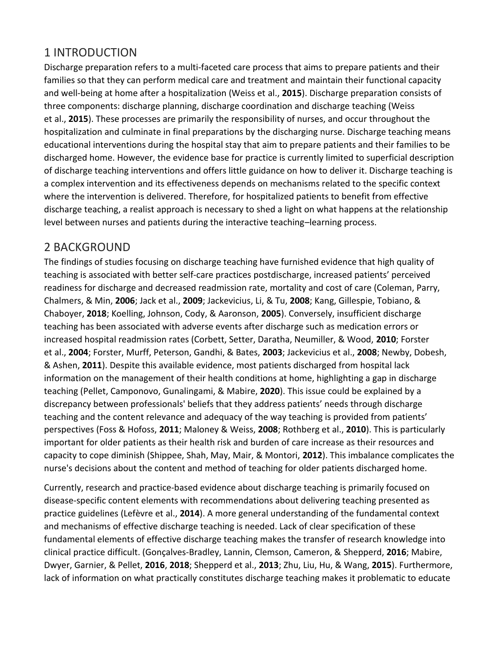## 1 INTRODUCTION

Discharge preparation refers to a multi‐faceted care process that aims to prepare patients and their families so that they can perform medical care and treatment and maintain their functional capacity and well‐being at home after a hospitalization (Weiss et al., **2015**). Discharge preparation consists of three components: discharge planning, discharge coordination and discharge teaching (Weiss et al., **2015**). These processes are primarily the responsibility of nurses, and occur throughout the hospitalization and culminate in final preparations by the discharging nurse. Discharge teaching means educational interventions during the hospital stay that aim to prepare patients and their families to be discharged home. However, the evidence base for practice is currently limited to superficial description of discharge teaching interventions and offers little guidance on how to deliver it. Discharge teaching is a complex intervention and its effectiveness depends on mechanisms related to the specific context where the intervention is delivered. Therefore, for hospitalized patients to benefit from effective discharge teaching, a realist approach is necessary to shed a light on what happens at the relationship level between nurses and patients during the interactive teaching–learning process.

## 2 BACKGROUND

The findings of studies focusing on discharge teaching have furnished evidence that high quality of teaching is associated with better self‐care practices postdischarge, increased patients' perceived readiness for discharge and decreased readmission rate, mortality and cost of care (Coleman, Parry, Chalmers, & Min, **2006**; Jack et al., **2009**; Jackevicius, Li, & Tu, **2008**; Kang, Gillespie, Tobiano, & Chaboyer, **2018**; Koelling, Johnson, Cody, & Aaronson, **2005**). Conversely, insufficient discharge teaching has been associated with adverse events after discharge such as medication errors or increased hospital readmission rates (Corbett, Setter, Daratha, Neumiller, & Wood, **2010**; Forster et al., **2004**; Forster, Murff, Peterson, Gandhi, & Bates, **2003**; Jackevicius et al., **2008**; Newby, Dobesh, & Ashen, **2011**). Despite this available evidence, most patients discharged from hospital lack information on the management of their health conditions at home, highlighting a gap in discharge teaching (Pellet, Camponovo, Gunalingami, & Mabire, **2020**). This issue could be explained by a discrepancy between professionals' beliefs that they address patients' needs through discharge teaching and the content relevance and adequacy of the way teaching is provided from patients' perspectives (Foss & Hofoss, **2011**; Maloney & Weiss, **2008**; Rothberg et al., **2010**). This is particularly important for older patients as their health risk and burden of care increase as their resources and capacity to cope diminish (Shippee, Shah, May, Mair, & Montori, **2012**). This imbalance complicates the nurse's decisions about the content and method of teaching for older patients discharged home.

Currently, research and practice‐based evidence about discharge teaching is primarily focused on disease‐specific content elements with recommendations about delivering teaching presented as practice guidelines (Lefèvre et al., **2014**). A more general understanding of the fundamental context and mechanisms of effective discharge teaching is needed. Lack of clear specification of these fundamental elements of effective discharge teaching makes the transfer of research knowledge into clinical practice difficult. (Gonçalves‐Bradley, Lannin, Clemson, Cameron, & Shepperd, **2016**; Mabire, Dwyer, Garnier, & Pellet, **2016**, **2018**; Shepperd et al., **2013**; Zhu, Liu, Hu, & Wang, **2015**). Furthermore, lack of information on what practically constitutes discharge teaching makes it problematic to educate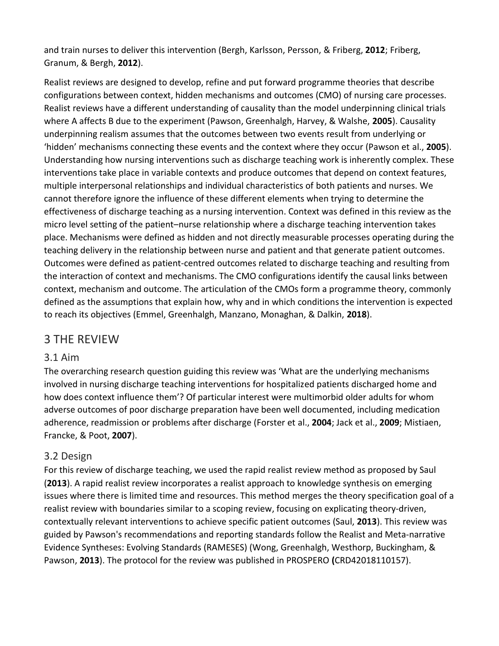and train nurses to deliver this intervention (Bergh, Karlsson, Persson, & Friberg, **2012**; Friberg, Granum, & Bergh, **2012**).

Realist reviews are designed to develop, refine and put forward programme theories that describe configurations between context, hidden mechanisms and outcomes (CMO) of nursing care processes. Realist reviews have a different understanding of causality than the model underpinning clinical trials where A affects B due to the experiment (Pawson, Greenhalgh, Harvey, & Walshe, **2005**). Causality underpinning realism assumes that the outcomes between two events result from underlying or 'hidden' mechanisms connecting these events and the context where they occur (Pawson et al., **2005**). Understanding how nursing interventions such as discharge teaching work is inherently complex. These interventions take place in variable contexts and produce outcomes that depend on context features, multiple interpersonal relationships and individual characteristics of both patients and nurses. We cannot therefore ignore the influence of these different elements when trying to determine the effectiveness of discharge teaching as a nursing intervention. Context was defined in this review as the micro level setting of the patient–nurse relationship where a discharge teaching intervention takes place. Mechanisms were defined as hidden and not directly measurable processes operating during the teaching delivery in the relationship between nurse and patient and that generate patient outcomes. Outcomes were defined as patient‐centred outcomes related to discharge teaching and resulting from the interaction of context and mechanisms. The CMO configurations identify the causal links between context, mechanism and outcome. The articulation of the CMOs form a programme theory, commonly defined as the assumptions that explain how, why and in which conditions the intervention is expected to reach its objectives (Emmel, Greenhalgh, Manzano, Monaghan, & Dalkin, **2018**).

## 3 THE REVIEW

#### 3.1 Aim

The overarching research question guiding this review was 'What are the underlying mechanisms involved in nursing discharge teaching interventions for hospitalized patients discharged home and how does context influence them'? Of particular interest were multimorbid older adults for whom adverse outcomes of poor discharge preparation have been well documented, including medication adherence, readmission or problems after discharge (Forster et al., **2004**; Jack et al., **2009**; Mistiaen, Francke, & Poot, **2007**).

#### 3.2 Design

For this review of discharge teaching, we used the rapid realist review method as proposed by Saul (**2013**). A rapid realist review incorporates a realist approach to knowledge synthesis on emerging issues where there is limited time and resources. This method merges the theory specification goal of a realist review with boundaries similar to a scoping review, focusing on explicating theory‐driven, contextually relevant interventions to achieve specific patient outcomes (Saul, **2013**). This review was guided by Pawson's recommendations and reporting standards follow the Realist and Meta‐narrative Evidence Syntheses: Evolving Standards (RAMESES) (Wong, Greenhalgh, Westhorp, Buckingham, & Pawson, **2013**). The protocol for the review was published in PROSPERO **(**CRD42018110157).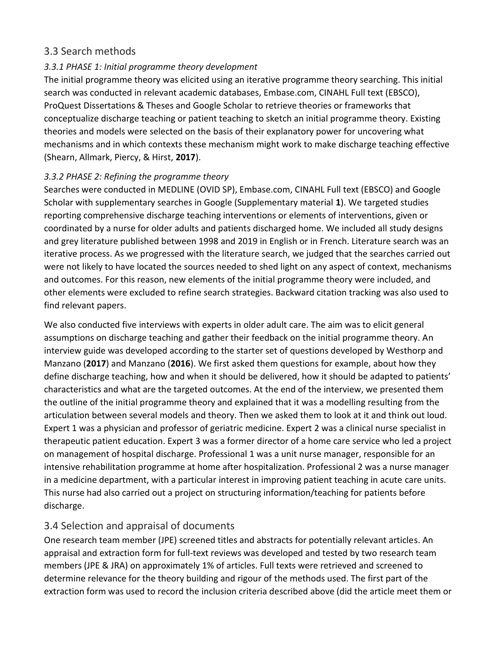#### 3.3 Search methods

#### *3.3.1 PHASE 1: Initial programme theory development*

The initial programme theory was elicited using an iterative programme theory searching. This initial search was conducted in relevant academic databases, Embase.com, CINAHL Full text (EBSCO), ProQuest Dissertations & Theses and Google Scholar to retrieve theories or frameworks that conceptualize discharge teaching or patient teaching to sketch an initial programme theory. Existing theories and models were selected on the basis of their explanatory power for uncovering what mechanisms and in which contexts these mechanism might work to make discharge teaching effective (Shearn, Allmark, Piercy, & Hirst, **2017**).

#### *3.3.2 PHASE 2: Refining the programme theory*

Searches were conducted in MEDLINE (OVID SP), Embase.com, CINAHL Full text (EBSCO) and Google Scholar with supplementary searches in Google (Supplementary material **1**). We targeted studies reporting comprehensive discharge teaching interventions or elements of interventions, given or coordinated by a nurse for older adults and patients discharged home. We included all study designs and grey literature published between 1998 and 2019 in English or in French. Literature search was an iterative process. As we progressed with the literature search, we judged that the searches carried out were not likely to have located the sources needed to shed light on any aspect of context, mechanisms and outcomes. For this reason, new elements of the initial programme theory were included, and other elements were excluded to refine search strategies. Backward citation tracking was also used to find relevant papers.

We also conducted five interviews with experts in older adult care. The aim was to elicit general assumptions on discharge teaching and gather their feedback on the initial programme theory. An interview guide was developed according to the starter set of questions developed by Westhorp and Manzano (**2017**) and Manzano (**2016**). We first asked them questions for example, about how they define discharge teaching, how and when it should be delivered, how it should be adapted to patients' characteristics and what are the targeted outcomes. At the end of the interview, we presented them the outline of the initial programme theory and explained that it was a modelling resulting from the articulation between several models and theory. Then we asked them to look at it and think out loud. Expert 1 was a physician and professor of geriatric medicine. Expert 2 was a clinical nurse specialist in therapeutic patient education. Expert 3 was a former director of a home care service who led a project on management of hospital discharge. Professional 1 was a unit nurse manager, responsible for an intensive rehabilitation programme at home after hospitalization. Professional 2 was a nurse manager in a medicine department, with a particular interest in improving patient teaching in acute care units. This nurse had also carried out a project on structuring information/teaching for patients before discharge.

#### 3.4 Selection and appraisal of documents

One research team member (JPE) screened titles and abstracts for potentially relevant articles. An appraisal and extraction form for full‐text reviews was developed and tested by two research team members (JPE & JRA) on approximately 1% of articles. Full texts were retrieved and screened to determine relevance for the theory building and rigour of the methods used. The first part of the extraction form was used to record the inclusion criteria described above (did the article meet them or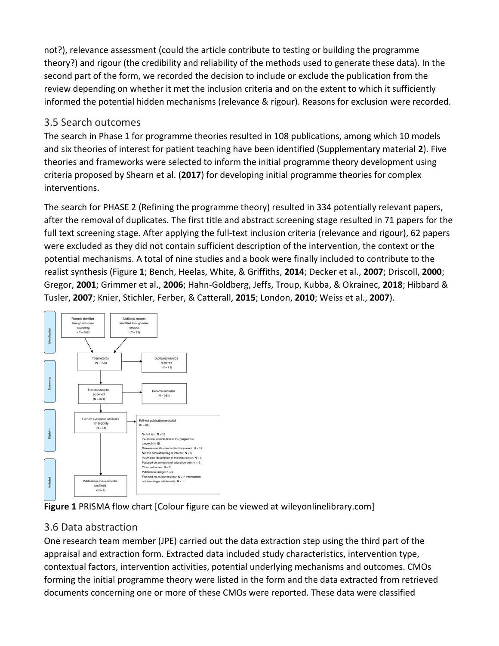not?), relevance assessment (could the article contribute to testing or building the programme theory?) and rigour (the credibility and reliability of the methods used to generate these data). In the second part of the form, we recorded the decision to include or exclude the publication from the review depending on whether it met the inclusion criteria and on the extent to which it sufficiently informed the potential hidden mechanisms (relevance & rigour). Reasons for exclusion were recorded.

#### 3.5 Search outcomes

The search in Phase 1 for programme theories resulted in 108 publications, among which 10 models and six theories of interest for patient teaching have been identified (Supplementary material **2**). Five theories and frameworks were selected to inform the initial programme theory development using criteria proposed by Shearn et al. (**2017**) for developing initial programme theories for complex interventions.

The search for PHASE 2 (Refining the programme theory) resulted in 334 potentially relevant papers, after the removal of duplicates. The first title and abstract screening stage resulted in 71 papers for the full text screening stage. After applying the full-text inclusion criteria (relevance and rigour), 62 papers were excluded as they did not contain sufficient description of the intervention, the context or the potential mechanisms. A total of nine studies and a book were finally included to contribute to the realist synthesis (Figure **1**; Bench, Heelas, White, & Griffiths, **2014**; Decker et al., **2007**; Driscoll, **2000**; Gregor, **2001**; Grimmer et al., **2006**; Hahn‐Goldberg, Jeffs, Troup, Kubba, & Okrainec, **2018**; Hibbard & Tusler, **2007**; Knier, Stichler, Ferber, & Catterall, **2015**; London, **2010**; Weiss et al., **2007**).





#### 3.6 Data abstraction

One research team member (JPE) carried out the data extraction step using the third part of the appraisal and extraction form. Extracted data included study characteristics, intervention type, contextual factors, intervention activities, potential underlying mechanisms and outcomes. CMOs forming the initial programme theory were listed in the form and the data extracted from retrieved documents concerning one or more of these CMOs were reported. These data were classified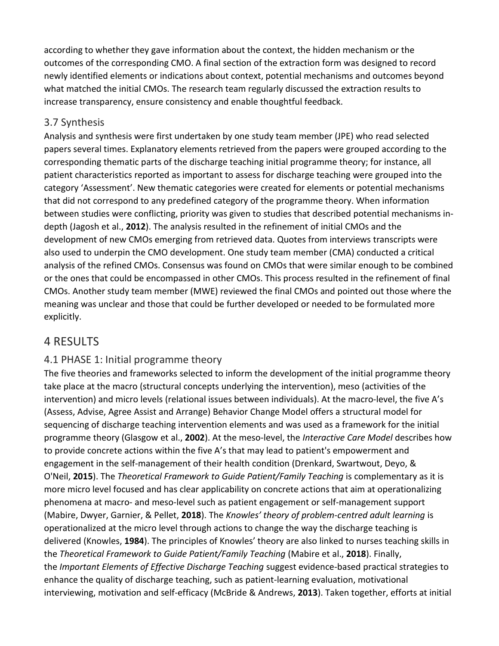according to whether they gave information about the context, the hidden mechanism or the outcomes of the corresponding CMO. A final section of the extraction form was designed to record newly identified elements or indications about context, potential mechanisms and outcomes beyond what matched the initial CMOs. The research team regularly discussed the extraction results to increase transparency, ensure consistency and enable thoughtful feedback.

#### 3.7 Synthesis

Analysis and synthesis were first undertaken by one study team member (JPE) who read selected papers several times. Explanatory elements retrieved from the papers were grouped according to the corresponding thematic parts of the discharge teaching initial programme theory; for instance, all patient characteristics reported as important to assess for discharge teaching were grouped into the category 'Assessment'. New thematic categories were created for elements or potential mechanisms that did not correspond to any predefined category of the programme theory. When information between studies were conflicting, priority was given to studies that described potential mechanisms in‐ depth (Jagosh et al., **2012**). The analysis resulted in the refinement of initial CMOs and the development of new CMOs emerging from retrieved data. Quotes from interviews transcripts were also used to underpin the CMO development. One study team member (CMA) conducted a critical analysis of the refined CMOs. Consensus was found on CMOs that were similar enough to be combined or the ones that could be encompassed in other CMOs. This process resulted in the refinement of final CMOs. Another study team member (MWE) reviewed the final CMOs and pointed out those where the meaning was unclear and those that could be further developed or needed to be formulated more explicitly.

## 4 RESULTS

#### 4.1 PHASE 1: Initial programme theory

The five theories and frameworks selected to inform the development of the initial programme theory take place at the macro (structural concepts underlying the intervention), meso (activities of the intervention) and micro levels (relational issues between individuals). At the macro‐level, the five A's (Assess, Advise, Agree Assist and Arrange) Behavior Change Model offers a structural model for sequencing of discharge teaching intervention elements and was used as a framework for the initial programme theory (Glasgow et al., **2002**). At the meso‐level, the *Interactive Care Model* describes how to provide concrete actions within the five A's that may lead to patient's empowerment and engagement in the self‐management of their health condition (Drenkard, Swartwout, Deyo, & O'Neil, **2015**). The *Theoretical Framework to Guide Patient/Family Teaching* is complementary as it is more micro level focused and has clear applicability on concrete actions that aim at operationalizing phenomena at macro‐ and meso‐level such as patient engagement or self‐management support (Mabire, Dwyer, Garnier, & Pellet, **2018**). The *Knowles' theory of problem‐centred adult learning* is operationalized at the micro level through actions to change the way the discharge teaching is delivered (Knowles, **1984**). The principles of Knowles' theory are also linked to nurses teaching skills in the *Theoretical Framework to Guide Patient/Family Teaching* (Mabire et al., **2018**). Finally, the *Important Elements of Effective Discharge Teaching* suggest evidence‐based practical strategies to enhance the quality of discharge teaching, such as patient‐learning evaluation, motivational interviewing, motivation and self‐efficacy (McBride & Andrews, **2013**). Taken together, efforts at initial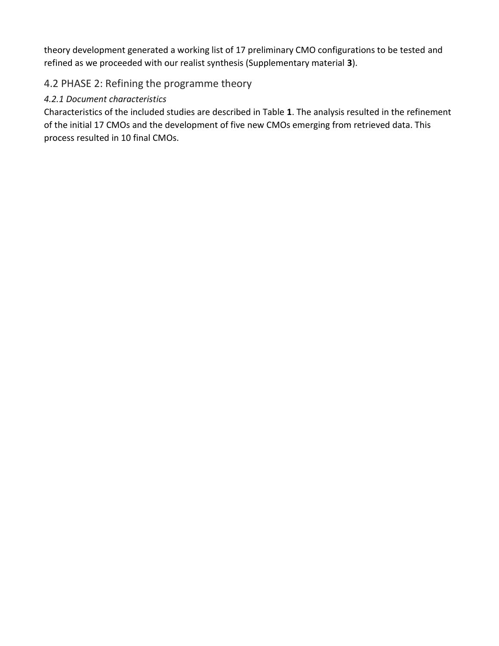theory development generated a working list of 17 preliminary CMO configurations to be tested and refined as we proceeded with our realist synthesis (Supplementary material **3**).

## 4.2 PHASE 2: Refining the programme theory

#### *4.2.1 Document characteristics*

Characteristics of the included studies are described in Table **1**. The analysis resulted in the refinement of the initial 17 CMOs and the development of five new CMOs emerging from retrieved data. This process resulted in 10 final CMOs.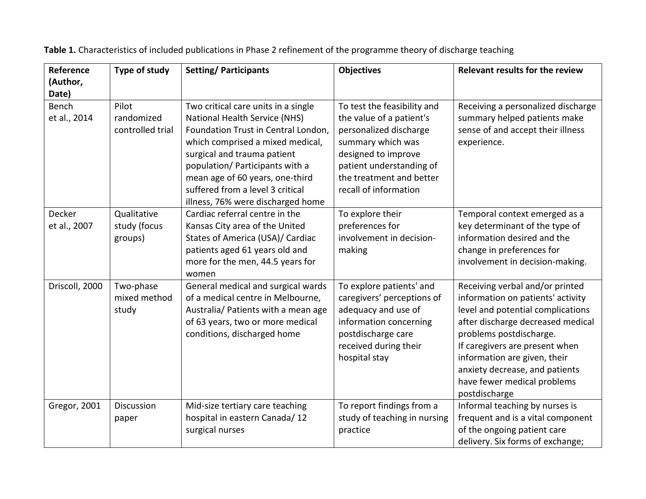| Reference      | Type of study    | <b>Setting/Participants</b>         | <b>Objectives</b>            | <b>Relevant results for the review</b> |
|----------------|------------------|-------------------------------------|------------------------------|----------------------------------------|
| (Author,       |                  |                                     |                              |                                        |
| Date)          |                  |                                     |                              |                                        |
| Bench          | Pilot            | Two critical care units in a single | To test the feasibility and  | Receiving a personalized discharge     |
| et al., 2014   | randomized       | National Health Service (NHS)       | the value of a patient's     | summary helped patients make           |
|                | controlled trial | Foundation Trust in Central London, | personalized discharge       | sense of and accept their illness      |
|                |                  | which comprised a mixed medical,    | summary which was            | experience.                            |
|                |                  | surgical and trauma patient         | designed to improve          |                                        |
|                |                  | population/ Participants with a     | patient understanding of     |                                        |
|                |                  | mean age of 60 years, one-third     | the treatment and better     |                                        |
|                |                  | suffered from a level 3 critical    | recall of information        |                                        |
|                |                  | illness, 76% were discharged home   |                              |                                        |
| Decker         | Qualitative      | Cardiac referral centre in the      | To explore their             | Temporal context emerged as a          |
| et al., 2007   | study (focus     | Kansas City area of the United      | preferences for              | key determinant of the type of         |
|                | groups)          | States of America (USA)/ Cardiac    | involvement in decision-     | information desired and the            |
|                |                  | patients aged 61 years old and      | making                       | change in preferences for              |
|                |                  | more for the men, 44.5 years for    |                              | involvement in decision-making.        |
|                |                  | women                               |                              |                                        |
| Driscoll, 2000 | Two-phase        | General medical and surgical wards  | To explore patients' and     | Receiving verbal and/or printed        |
|                | mixed method     | of a medical centre in Melbourne,   | caregivers' perceptions of   | information on patients' activity      |
|                | study            | Australia/ Patients with a mean age | adequacy and use of          | level and potential complications      |
|                |                  | of 63 years, two or more medical    | information concerning       | after discharge decreased medical      |
|                |                  | conditions, discharged home         | postdischarge care           | problems postdischarge.                |
|                |                  |                                     | received during their        | If caregivers are present when         |
|                |                  |                                     | hospital stay                | information are given, their           |
|                |                  |                                     |                              | anxiety decrease, and patients         |
|                |                  |                                     |                              | have fewer medical problems            |
|                |                  |                                     |                              | postdischarge                          |
| Gregor, 2001   | Discussion       | Mid-size tertiary care teaching     | To report findings from a    | Informal teaching by nurses is         |
|                | paper            | hospital in eastern Canada/12       | study of teaching in nursing | frequent and is a vital component      |
|                |                  | surgical nurses                     | practice                     | of the ongoing patient care            |
|                |                  |                                     |                              | delivery. Six forms of exchange;       |

**Table 1.** Characteristics of included publications in Phase 2 refinement of the programme theory of discharge teaching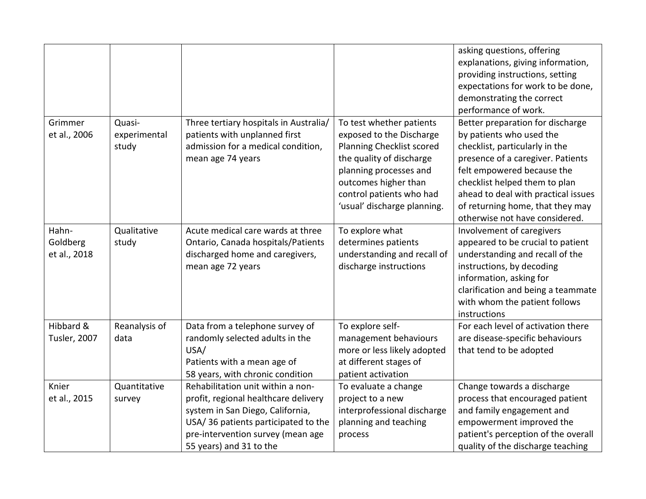|                                   |                                 |                                                                                                                                                                                                                      |                                                                                                                                                                                                                            | asking questions, offering<br>explanations, giving information,<br>providing instructions, setting<br>expectations for work to be done,<br>demonstrating the correct<br>performance of work.                                                                                                                    |
|-----------------------------------|---------------------------------|----------------------------------------------------------------------------------------------------------------------------------------------------------------------------------------------------------------------|----------------------------------------------------------------------------------------------------------------------------------------------------------------------------------------------------------------------------|-----------------------------------------------------------------------------------------------------------------------------------------------------------------------------------------------------------------------------------------------------------------------------------------------------------------|
| Grimmer<br>et al., 2006           | Quasi-<br>experimental<br>study | Three tertiary hospitals in Australia/<br>patients with unplanned first<br>admission for a medical condition,<br>mean age 74 years                                                                                   | To test whether patients<br>exposed to the Discharge<br>Planning Checklist scored<br>the quality of discharge<br>planning processes and<br>outcomes higher than<br>control patients who had<br>'usual' discharge planning. | Better preparation for discharge<br>by patients who used the<br>checklist, particularly in the<br>presence of a caregiver. Patients<br>felt empowered because the<br>checklist helped them to plan<br>ahead to deal with practical issues<br>of returning home, that they may<br>otherwise not have considered. |
| Hahn-<br>Goldberg<br>et al., 2018 | Qualitative<br>study            | Acute medical care wards at three<br>Ontario, Canada hospitals/Patients<br>discharged home and caregivers,<br>mean age 72 years                                                                                      | To explore what<br>determines patients<br>understanding and recall of<br>discharge instructions                                                                                                                            | Involvement of caregivers<br>appeared to be crucial to patient<br>understanding and recall of the<br>instructions, by decoding<br>information, asking for<br>clarification and being a teammate<br>with whom the patient follows<br>instructions                                                                |
| Hibbard &<br><b>Tusler, 2007</b>  | Reanalysis of<br>data           | Data from a telephone survey of<br>randomly selected adults in the<br>USA/<br>Patients with a mean age of<br>58 years, with chronic condition                                                                        | To explore self-<br>management behaviours<br>more or less likely adopted<br>at different stages of<br>patient activation                                                                                                   | For each level of activation there<br>are disease-specific behaviours<br>that tend to be adopted                                                                                                                                                                                                                |
| Knier<br>et al., 2015             | Quantitative<br>survey          | Rehabilitation unit within a non-<br>profit, regional healthcare delivery<br>system in San Diego, California,<br>USA/36 patients participated to the<br>pre-intervention survey (mean age<br>55 years) and 31 to the | To evaluate a change<br>project to a new<br>interprofessional discharge<br>planning and teaching<br>process                                                                                                                | Change towards a discharge<br>process that encouraged patient<br>and family engagement and<br>empowerment improved the<br>patient's perception of the overall<br>quality of the discharge teaching                                                                                                              |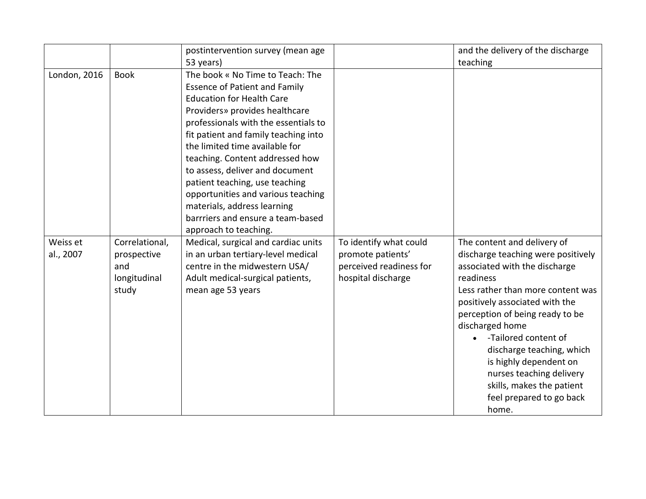|                       |                                                               | postintervention survey (mean age                                                                                                                                                                                                                                                                                                                                                                                                                                                                           |                                                                                              | and the delivery of the discharge                                                                                                                                                                                                                                                                                                                                                                                         |
|-----------------------|---------------------------------------------------------------|-------------------------------------------------------------------------------------------------------------------------------------------------------------------------------------------------------------------------------------------------------------------------------------------------------------------------------------------------------------------------------------------------------------------------------------------------------------------------------------------------------------|----------------------------------------------------------------------------------------------|---------------------------------------------------------------------------------------------------------------------------------------------------------------------------------------------------------------------------------------------------------------------------------------------------------------------------------------------------------------------------------------------------------------------------|
|                       |                                                               | 53 years)                                                                                                                                                                                                                                                                                                                                                                                                                                                                                                   |                                                                                              | teaching                                                                                                                                                                                                                                                                                                                                                                                                                  |
| London, 2016          | <b>Book</b>                                                   | The book « No Time to Teach: The<br><b>Essence of Patient and Family</b><br><b>Education for Health Care</b><br>Providers» provides healthcare<br>professionals with the essentials to<br>fit patient and family teaching into<br>the limited time available for<br>teaching. Content addressed how<br>to assess, deliver and document<br>patient teaching, use teaching<br>opportunities and various teaching<br>materials, address learning<br>barrriers and ensure a team-based<br>approach to teaching. |                                                                                              |                                                                                                                                                                                                                                                                                                                                                                                                                           |
| Weiss et<br>al., 2007 | Correlational,<br>prospective<br>and<br>longitudinal<br>study | Medical, surgical and cardiac units<br>in an urban tertiary-level medical<br>centre in the midwestern USA/<br>Adult medical-surgical patients,<br>mean age 53 years                                                                                                                                                                                                                                                                                                                                         | To identify what could<br>promote patients'<br>perceived readiness for<br>hospital discharge | The content and delivery of<br>discharge teaching were positively<br>associated with the discharge<br>readiness<br>Less rather than more content was<br>positively associated with the<br>perception of being ready to be<br>discharged home<br>-Tailored content of<br>discharge teaching, which<br>is highly dependent on<br>nurses teaching delivery<br>skills, makes the patient<br>feel prepared to go back<br>home. |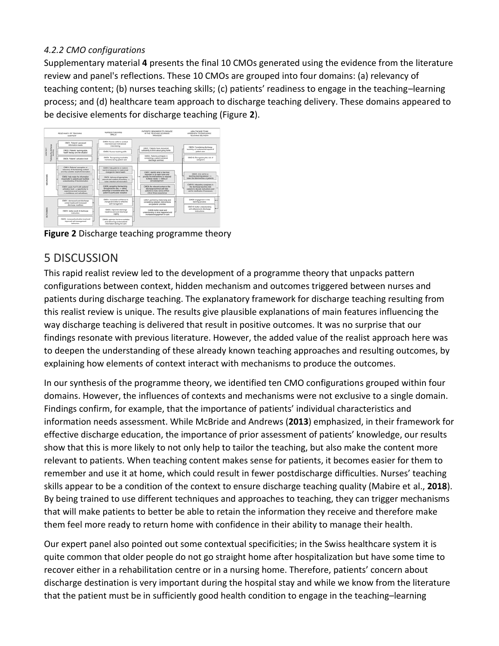#### *4.2.2 CMO configurations*

Supplementary material **4** presents the final 10 CMOs generated using the evidence from the literature review and panel's reflections. These 10 CMOs are grouped into four domains: (a) relevancy of teaching content; (b) nurses teaching skills; (c) patients' readiness to engage in the teaching–learning process; and (d) healthcare team approach to discharge teaching delivery. These domains appeared to be decisive elements for discharge teaching (Figure **2**).



**Figure 2** Discharge teaching programme theory

## 5 DISCUSSION

This rapid realist review led to the development of a programme theory that unpacks pattern configurations between context, hidden mechanism and outcomes triggered between nurses and patients during discharge teaching. The explanatory framework for discharge teaching resulting from this realist review is unique. The results give plausible explanations of main features influencing the way discharge teaching is delivered that result in positive outcomes. It was no surprise that our findings resonate with previous literature. However, the added value of the realist approach here was to deepen the understanding of these already known teaching approaches and resulting outcomes, by explaining how elements of context interact with mechanisms to produce the outcomes.

In our synthesis of the programme theory, we identified ten CMO configurations grouped within four domains. However, the influences of contexts and mechanisms were not exclusive to a single domain. Findings confirm, for example, that the importance of patients' individual characteristics and information needs assessment. While McBride and Andrews (**2013**) emphasized, in their framework for effective discharge education, the importance of prior assessment of patients' knowledge, our results show that this is more likely to not only help to tailor the teaching, but also make the content more relevant to patients. When teaching content makes sense for patients, it becomes easier for them to remember and use it at home, which could result in fewer postdischarge difficulties. Nurses' teaching skills appear to be a condition of the context to ensure discharge teaching quality (Mabire et al., **2018**). By being trained to use different techniques and approaches to teaching, they can trigger mechanisms that will make patients to better be able to retain the information they receive and therefore make them feel more ready to return home with confidence in their ability to manage their health.

Our expert panel also pointed out some contextual specificities; in the Swiss healthcare system it is quite common that older people do not go straight home after hospitalization but have some time to recover either in a rehabilitation centre or in a nursing home. Therefore, patients' concern about discharge destination is very important during the hospital stay and while we know from the literature that the patient must be in sufficiently good health condition to engage in the teaching–learning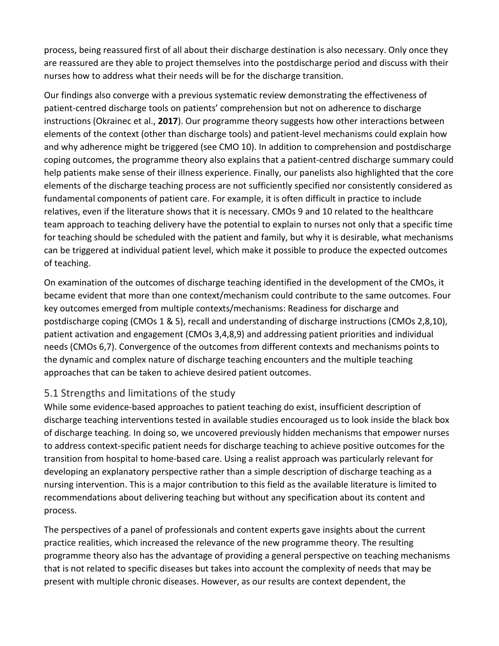process, being reassured first of all about their discharge destination is also necessary. Only once they are reassured are they able to project themselves into the postdischarge period and discuss with their nurses how to address what their needs will be for the discharge transition.

Our findings also converge with a previous systematic review demonstrating the effectiveness of patient‐centred discharge tools on patients' comprehension but not on adherence to discharge instructions (Okrainec et al., **2017**). Our programme theory suggests how other interactions between elements of the context (other than discharge tools) and patient‐level mechanisms could explain how and why adherence might be triggered (see CMO 10). In addition to comprehension and postdischarge coping outcomes, the programme theory also explains that a patient‐centred discharge summary could help patients make sense of their illness experience. Finally, our panelists also highlighted that the core elements of the discharge teaching process are not sufficiently specified nor consistently considered as fundamental components of patient care. For example, it is often difficult in practice to include relatives, even if the literature shows that it is necessary. CMOs 9 and 10 related to the healthcare team approach to teaching delivery have the potential to explain to nurses not only that a specific time for teaching should be scheduled with the patient and family, but why it is desirable, what mechanisms can be triggered at individual patient level, which make it possible to produce the expected outcomes of teaching.

On examination of the outcomes of discharge teaching identified in the development of the CMOs, it became evident that more than one context/mechanism could contribute to the same outcomes. Four key outcomes emerged from multiple contexts/mechanisms: Readiness for discharge and postdischarge coping (CMOs 1 & 5), recall and understanding of discharge instructions (CMOs 2,8,10), patient activation and engagement (CMOs 3,4,8,9) and addressing patient priorities and individual needs (CMOs 6,7). Convergence of the outcomes from different contexts and mechanisms points to the dynamic and complex nature of discharge teaching encounters and the multiple teaching approaches that can be taken to achieve desired patient outcomes.

#### 5.1 Strengths and limitations of the study

While some evidence-based approaches to patient teaching do exist, insufficient description of discharge teaching interventions tested in available studies encouraged us to look inside the black box of discharge teaching. In doing so, we uncovered previously hidden mechanisms that empower nurses to address context‐specific patient needs for discharge teaching to achieve positive outcomes for the transition from hospital to home‐based care. Using a realist approach was particularly relevant for developing an explanatory perspective rather than a simple description of discharge teaching as a nursing intervention. This is a major contribution to this field as the available literature is limited to recommendations about delivering teaching but without any specification about its content and process.

The perspectives of a panel of professionals and content experts gave insights about the current practice realities, which increased the relevance of the new programme theory. The resulting programme theory also has the advantage of providing a general perspective on teaching mechanisms that is not related to specific diseases but takes into account the complexity of needs that may be present with multiple chronic diseases. However, as our results are context dependent, the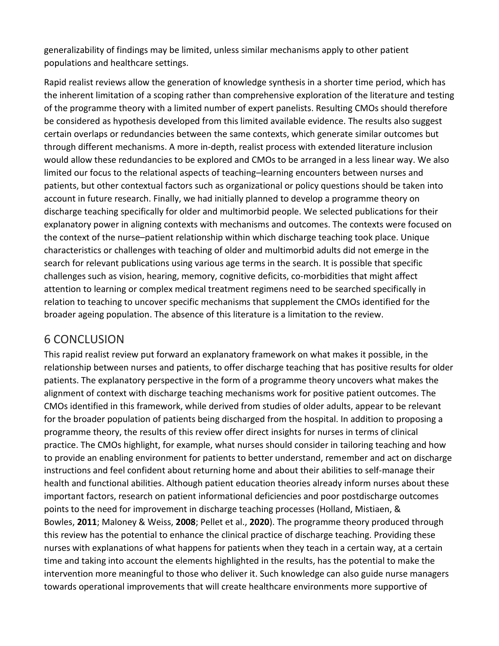generalizability of findings may be limited, unless similar mechanisms apply to other patient populations and healthcare settings.

Rapid realist reviews allow the generation of knowledge synthesis in a shorter time period, which has the inherent limitation of a scoping rather than comprehensive exploration of the literature and testing of the programme theory with a limited number of expert panelists. Resulting CMOs should therefore be considered as hypothesis developed from this limited available evidence. The results also suggest certain overlaps or redundancies between the same contexts, which generate similar outcomes but through different mechanisms. A more in‐depth, realist process with extended literature inclusion would allow these redundancies to be explored and CMOs to be arranged in a less linear way. We also limited our focus to the relational aspects of teaching–learning encounters between nurses and patients, but other contextual factors such as organizational or policy questions should be taken into account in future research. Finally, we had initially planned to develop a programme theory on discharge teaching specifically for older and multimorbid people. We selected publications for their explanatory power in aligning contexts with mechanisms and outcomes. The contexts were focused on the context of the nurse–patient relationship within which discharge teaching took place. Unique characteristics or challenges with teaching of older and multimorbid adults did not emerge in the search for relevant publications using various age terms in the search. It is possible that specific challenges such as vision, hearing, memory, cognitive deficits, co-morbidities that might affect attention to learning or complex medical treatment regimens need to be searched specifically in relation to teaching to uncover specific mechanisms that supplement the CMOs identified for the broader ageing population. The absence of this literature is a limitation to the review.

## 6 CONCLUSION

This rapid realist review put forward an explanatory framework on what makes it possible, in the relationship between nurses and patients, to offer discharge teaching that has positive results for older patients. The explanatory perspective in the form of a programme theory uncovers what makes the alignment of context with discharge teaching mechanisms work for positive patient outcomes. The CMOs identified in this framework, while derived from studies of older adults, appear to be relevant for the broader population of patients being discharged from the hospital. In addition to proposing a programme theory, the results of this review offer direct insights for nurses in terms of clinical practice. The CMOs highlight, for example, what nurses should consider in tailoring teaching and how to provide an enabling environment for patients to better understand, remember and act on discharge instructions and feel confident about returning home and about their abilities to self‐manage their health and functional abilities. Although patient education theories already inform nurses about these important factors, research on patient informational deficiencies and poor postdischarge outcomes points to the need for improvement in discharge teaching processes (Holland, Mistiaen, & Bowles, **2011**; Maloney & Weiss, **2008**; Pellet et al., **2020**). The programme theory produced through this review has the potential to enhance the clinical practice of discharge teaching. Providing these nurses with explanations of what happens for patients when they teach in a certain way, at a certain time and taking into account the elements highlighted in the results, has the potential to make the intervention more meaningful to those who deliver it. Such knowledge can also guide nurse managers towards operational improvements that will create healthcare environments more supportive of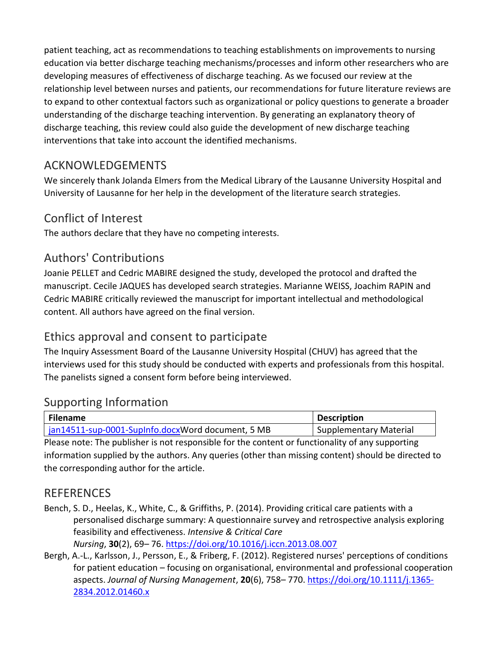patient teaching, act as recommendations to teaching establishments on improvements to nursing education via better discharge teaching mechanisms/processes and inform other researchers who are developing measures of effectiveness of discharge teaching. As we focused our review at the relationship level between nurses and patients, our recommendations for future literature reviews are to expand to other contextual factors such as organizational or policy questions to generate a broader understanding of the discharge teaching intervention. By generating an explanatory theory of discharge teaching, this review could also guide the development of new discharge teaching interventions that take into account the identified mechanisms.

## ACKNOWLEDGEMENTS

We sincerely thank Jolanda Elmers from the Medical Library of the Lausanne University Hospital and University of Lausanne for her help in the development of the literature search strategies.

## Conflict of Interest

The authors declare that they have no competing interests.

#### Authors' Contributions

Joanie PELLET and Cedric MABIRE designed the study, developed the protocol and drafted the manuscript. Cecile JAQUES has developed search strategies. Marianne WEISS, Joachim RAPIN and Cedric MABIRE critically reviewed the manuscript for important intellectual and methodological content. All authors have agreed on the final version.

## Ethics approval and consent to participate

The Inquiry Assessment Board of the Lausanne University Hospital (CHUV) has agreed that the interviews used for this study should be conducted with experts and professionals from this hospital. The panelists signed a consent form before being interviewed.

#### Supporting Information

| Filename                                          | <b>Description</b>     |
|---------------------------------------------------|------------------------|
| jan14511-sup-0001-SupInfo.docxWord document, 5 MB | Supplementary Material |

Please note: The publisher is not responsible for the content or functionality of any supporting information supplied by the authors. Any queries (other than missing content) should be directed to the corresponding author for the article.

#### REFERENCES

- Bench, S. D., Heelas, K., White, C., & Griffiths, P. (2014). Providing critical care patients with a personalised discharge summary: A questionnaire survey and retrospective analysis exploring feasibility and effectiveness. *Intensive & Critical Care Nursing*, **30**(2), 69– 76. <https://doi.org/10.1016/j.iccn.2013.08.007>
- Bergh, A.‐L., Karlsson, J., Persson, E., & Friberg, F. (2012). Registered nurses' perceptions of conditions for patient education – focusing on organisational, environmental and professional cooperation aspects. *Journal of Nursing Management*, **20**(6), 758– 770. [https://doi.org/10.1111/j.1365‐](https://doi.org/10.1111/j.1365-2834.2012.01460.x) [2834.2012.01460.x](https://doi.org/10.1111/j.1365-2834.2012.01460.x)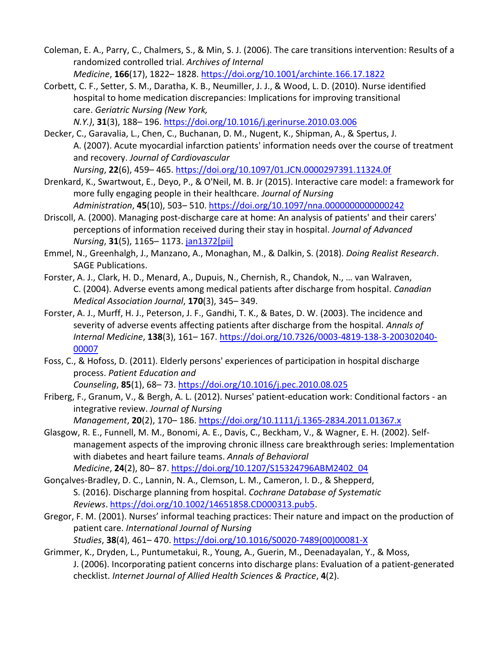- Coleman, E. A., Parry, C., Chalmers, S., & Min, S. J. (2006). The care transitions intervention: Results of a randomized controlled trial. *Archives of Internal Medicine*, **166**(17), 1822– 1828. <https://doi.org/10.1001/archinte.166.17.1822>
- Corbett, C. F., Setter, S. M., Daratha, K. B., Neumiller, J. J., & Wood, L. D. (2010). Nurse identified hospital to home medication discrepancies: Implications for improving transitional care. *Geriatric Nursing (New York,*

*N.Y.)*, **31**(3), 188– 196. <https://doi.org/10.1016/j.gerinurse.2010.03.006>

- Decker, C., Garavalia, L., Chen, C., Buchanan, D. M., Nugent, K., Shipman, A., & Spertus, J. A. (2007). Acute myocardial infarction patients' information needs over the course of treatment and recovery. *Journal of Cardiovascular Nursing*, **22**(6), 459– 465. <https://doi.org/10.1097/01.JCN.0000297391.11324.0f>
- Drenkard, K., Swartwout, E., Deyo, P., & O'Neil, M. B. Jr (2015). Interactive care model: a framework for more fully engaging people in their healthcare. *Journal of Nursing Administration*, **45**(10), 503– 510. <https://doi.org/10.1097/nna.0000000000000242>
- Driscoll, A. (2000). Managing post‐discharge care at home: An analysis of patients' and their carers' perceptions of information received during their stay in hospital. *Journal of Advanced Nursing*, **31**(5), 1165– 1173. [jan1372\[pii\]](https://onlinelibrary.wiley.com/doi/10.1111/jan1372%5Bpii%5D)
- Emmel, N., Greenhalgh, J., Manzano, A., Monaghan, M., & Dalkin, S. (2018). *Doing Realist Research*. SAGE Publications.
- Forster, A. J., Clark, H. D., Menard, A., Dupuis, N., Chernish, R., Chandok, N., … van Walraven, C. (2004). Adverse events among medical patients after discharge from hospital. *Canadian Medical Association Journal*, **170**(3), 345– 349.
- Forster, A. J., Murff, H. J., Peterson, J. F., Gandhi, T. K., & Bates, D. W. (2003). The incidence and severity of adverse events affecting patients after discharge from the hospital. *Annals of Internal Medicine*, **138**(3), 161– 167. [https://doi.org/10.7326/0003‐4819‐138‐3‐200302040‐](https://doi.org/10.7326/0003-4819-138-3-200302040-00007) [00007](https://doi.org/10.7326/0003-4819-138-3-200302040-00007)
- Foss, C., & Hofoss, D. (2011). Elderly persons' experiences of participation in hospital discharge process. *Patient Education and*

*Counseling*, **85**(1), 68– 73. <https://doi.org/10.1016/j.pec.2010.08.025>

Friberg, F., Granum, V., & Bergh, A. L. (2012). Nurses' patient‐education work: Conditional factors ‐ an integrative review. *Journal of Nursing* 

*Management*, **20**(2), 170– 186. [https://doi.org/10.1111/j.1365‐2834.2011.01367.x](https://doi.org/10.1111/j.1365-2834.2011.01367.x)

- Glasgow, R. E., Funnell, M. M., Bonomi, A. E., Davis, C., Beckham, V., & Wagner, E. H. (2002). Self‐ management aspects of the improving chronic illness care breakthrough series: Implementation with diabetes and heart failure teams. *Annals of Behavioral Medicine*, **24**(2), 80– 87. [https://doi.org/10.1207/S15324796ABM2402\\_04](https://doi.org/10.1207/S15324796ABM2402_04)
- Gonçalves‐Bradley, D. C., Lannin, N. A., Clemson, L. M., Cameron, I. D., & Shepperd, S. (2016). Discharge planning from hospital. *Cochrane Database of Systematic Reviews*. [https://doi.org/10.1002/14651858.CD000313.pub5.](https://doi.org/10.1002/14651858.CD000313.pub5)
- Gregor, F. M. (2001). Nurses' informal teaching practices: Their nature and impact on the production of patient care. *International Journal of Nursing Studies*, **38**(4), 461– 470. [https://doi.org/10.1016/S0020‐7489\(00\)00081‐X](https://doi.org/10.1016/S0020-7489(00)00081-X)
- Grimmer, K., Dryden, L., Puntumetakui, R., Young, A., Guerin, M., Deenadayalan, Y., & Moss, J. (2006). Incorporating patient concerns into discharge plans: Evaluation of a patient‐generated checklist. *Internet Journal of Allied Health Sciences & Practice*, **4**(2).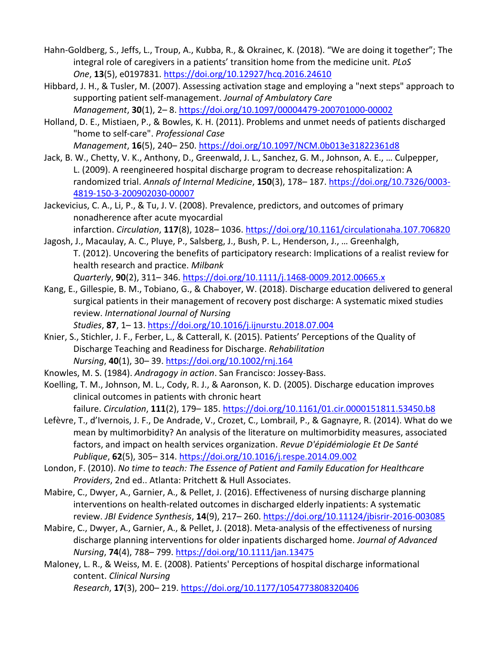- Hahn‐Goldberg, S., Jeffs, L., Troup, A., Kubba, R., & Okrainec, K. (2018). "We are doing it together"; The integral role of caregivers in a patients' transition home from the medicine unit. *PLoS One*, **13**(5), e0197831. <https://doi.org/10.12927/hcq.2016.24610>
- Hibbard, J. H., & Tusler, M. (2007). Assessing activation stage and employing a "next steps" approach to supporting patient self‐management. *Journal of Ambulatory Care Management*, **30**(1), 2– 8. [https://doi.org/10.1097/00004479‐200701000‐00002](https://doi.org/10.1097/00004479-200701000-00002)
- Holland, D. E., Mistiaen, P., & Bowles, K. H. (2011). Problems and unmet needs of patients discharged "home to self‐care". *Professional Case*

*Management*, **16**(5), 240– 250. <https://doi.org/10.1097/NCM.0b013e31822361d8>

- Jack, B. W., Chetty, V. K., Anthony, D., Greenwald, J. L., Sanchez, G. M., Johnson, A. E., … Culpepper, L. (2009). A reengineered hospital discharge program to decrease rehospitalization: A randomized trial. *Annals of Internal Medicine*, **150**(3), 178– 187. [https://doi.org/10.7326/0003‐](https://doi.org/10.7326/0003-4819-150-3-200902030-00007) 4[819‐150‐3‐200902030‐00007](https://doi.org/10.7326/0003-4819-150-3-200902030-00007)
- Jackevicius, C. A., Li, P., & Tu, J. V. (2008). Prevalence, predictors, and outcomes of primary nonadherence after acute myocardial infarction. *Circulation*, **117**(8), 1028– 1036. <https://doi.org/10.1161/circulationaha.107.706820>
- Jagosh, J., Macaulay, A. C., Pluye, P., Salsberg, J., Bush, P. L., Henderson, J., … Greenhalgh, T. (2012). Uncovering the benefits of participatory research: Implications of a realist review for health research and practice. *Milbank*

*Quarterly*, **90**(2), 311– 346. [https://doi.org/10.1111/j.1468‐0009.2012.00665.x](https://doi.org/10.1111/j.1468-0009.2012.00665.x)

Kang, E., Gillespie, B. M., Tobiano, G., & Chaboyer, W. (2018). Discharge education delivered to general surgical patients in their management of recovery post discharge: A systematic mixed studies review. *International Journal of Nursing* 

*Studies*, **87**, 1– 13. <https://doi.org/10.1016/j.ijnurstu.2018.07.004>

- Knier, S., Stichler, J. F., Ferber, L., & Catterall, K. (2015). Patients' Perceptions of the Quality of Discharge Teaching and Readiness for Discharge. *Rehabilitation Nursing*, **40**(1), 30– 39. <https://doi.org/10.1002/rnj.164>
- Knowles, M. S. (1984). *Andragogy in action*. San Francisco: Jossey‐Bass.
- Koelling, T. M., Johnson, M. L., Cody, R. J., & Aaronson, K. D. (2005). Discharge education improves clinical outcomes in patients with chronic heart

failure. *Circulation*, **111**(2), 179– 185. <https://doi.org/10.1161/01.cir.0000151811.53450.b8>

- Lefèvre, T., d'Ivernois, J. F., De Andrade, V., Crozet, C., Lombrail, P., & Gagnayre, R. (2014). What do we mean by multimorbidity? An analysis of the literature on multimorbidity measures, associated factors, and impact on health services organization. *Revue D'épidémiologie Et De Santé Publique*, **62**(5), 305– 314. <https://doi.org/10.1016/j.respe.2014.09.002>
- London, F. (2010). *No time to teach: The Essence of Patient and Family Education for Healthcare Providers*, 2nd ed.. Atlanta: Pritchett & Hull Associates.
- Mabire, C., Dwyer, A., Garnier, A., & Pellet, J. (2016). Effectiveness of nursing discharge planning interventions on health-related outcomes in discharged elderly inpatients: A systematic review. *JBI Evidence Synthesis*, **14**(9), 217– 260. [https://doi.org/10.11124/jbisrir‐2016‐003085](https://doi.org/10.11124/jbisrir-2016-003085)
- Mabire, C., Dwyer, A., Garnier, A., & Pellet, J. (2018). Meta‐analysis of the effectiveness of nursing discharge planning interventions for older inpatients discharged home. *Journal of Advanced Nursing*, **74**(4), 788– 799. <https://doi.org/10.1111/jan.13475>
- Maloney, L. R., & Weiss, M. E. (2008). Patients' Perceptions of hospital discharge informational content. *Clinical Nursing Research*, **17**(3), 200– 219. <https://doi.org/10.1177/1054773808320406>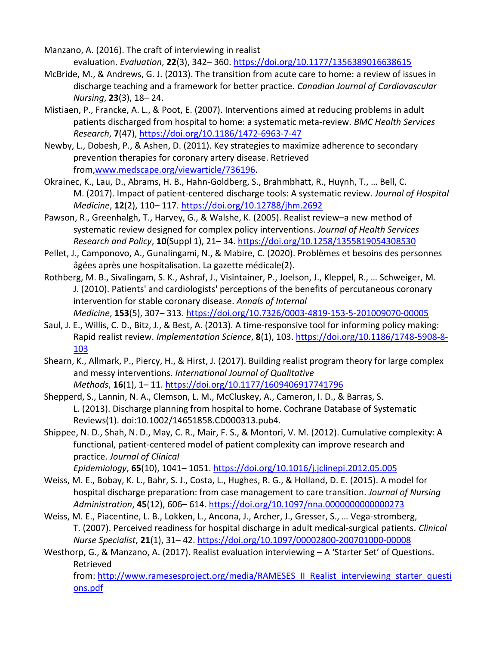Manzano, A. (2016). The craft of interviewing in realist evaluation. *Evaluation*, **22**(3), 342– 360. <https://doi.org/10.1177/1356389016638615>

- McBride, M., & Andrews, G. J. (2013). The transition from acute care to home: a review of issues in discharge teaching and a framework for better practice. *Canadian Journal of Cardiovascular Nursing*, **23**(3), 18– 24.
- Mistiaen, P., Francke, A. L., & Poot, E. (2007). Interventions aimed at reducing problems in adult patients discharged from hospital to home: a systematic meta‐review. *BMC Health Services Research*, **7**(47), [https://doi.org/10.1186/1472‐6963‐7‐47](https://doi.org/10.1186/1472-6963-7-47)
- Newby, L., Dobesh, P., & Ashen, D. (2011). Key strategies to maximize adherence to secondary prevention therapies for coronary artery disease. Retrieved from[,www.medscape.org/viewarticle/736196.](http://www.medscape.org/viewarticle/736196)
- Okrainec, K., Lau, D., Abrams, H. B., Hahn‐Goldberg, S., Brahmbhatt, R., Huynh, T., … Bell, C. M. (2017). Impact of patient‐centered discharge tools: A systematic review. *Journal of Hospital Medicine*, **12**(2), 110– 117. <https://doi.org/10.12788/jhm.2692>
- Pawson, R., Greenhalgh, T., Harvey, G., & Walshe, K. (2005). Realist review–a new method of systematic review designed for complex policy interventions. *Journal of Health Services Research and Policy*, **10**(Suppl 1), 21– 34. <https://doi.org/10.1258/1355819054308530>
- Pellet, J., Camponovo, A., Gunalingami, N., & Mabire, C. (2020). Problèmes et besoins des personnes âgées après une hospitalisation. La gazette médicale(2).
- Rothberg, M. B., Sivalingam, S. K., Ashraf, J., Visintainer, P., Joelson, J., Kleppel, R., … Schweiger, M. J. (2010). Patients' and cardiologists' perceptions of the benefits of percutaneous coronary intervention for stable coronary disease. *Annals of Internal Medicine*, **153**(5), 307– 313. https://d[oi.org/10.7326/0003‐4819‐153‐5‐201009070‐00005](https://doi.org/10.7326/0003-4819-153-5-201009070-00005)
- Saul, J. E., Willis, C. D., Bitz, J., & Best, A. (2013). A time‐responsive tool for informing policy making: Rapid realist review. *Implementation Science*, **8**(1), 103. [https://doi.org/10.1186/1748‐5908‐8‐](https://doi.org/10.1186/1748-5908-8-103) [103](https://doi.org/10.1186/1748-5908-8-103)
- Shearn, K., Allmark, P., Piercy, H., & Hirst, J. (2017). Building realist program theory for large complex and messy interventions. *International Journal of Qualitative Methods*, **16**(1), 1– 11. <https://doi.org/10.1177/1609406917741796>

Shepperd, S., Lannin, N. A., Clemson, L. M., McCluskey, A., Cameron, I. D., & Barras, S. L. (2013). Discharge planning from hospital to home. Cochrane Database of Systematic Reviews(1). doi:10.1002/14651858.CD000313.pub4.

Shippee, N. D., Shah, N. D., May, C. R., Mair, F. S., & Montori, V. M. (2012). Cumulative complexity: A functional, patient‐centered model of patient complexity can improve research and practice. *Journal of Clinical* 

*Epidemiology*, **65**(10), 1041– 1051. <https://doi.org/10.1016/j.jclinepi.2012.05.005>

- Weiss, M. E., Bobay, K. L., Bahr, S. J., Costa, L., Hughes, R. G., & Holland, D. E. (2015). A model for hospital discharge preparation: from case management to care transition. *Journal of Nursing Administration*, **45**(12), 606– 614. <https://doi.org/10.1097/nna.0000000000000273>
- Weiss, M. E., Piacentine, L. B., Lokken, L., Ancona, J., Archer, J., Gresser, S., ... Vega-stromberg, T. (2007). Perceived readiness for hospital discharge in adult medical‐surgical patients. *Clinical Nurse Specialist*, **21**(1), 31– 42. [https://doi.org/10.1097/00002800‐200701000‐00008](https://doi.org/10.1097/00002800-200701000-00008)
- Westhorp, G., & Manzano, A. (2017). Realist evaluation interviewing A 'Starter Set' of Questions. Retrieved

from: [http://www.ramesesproject.org/media/RAMESES\\_II\\_Realist\\_interviewing\\_starter\\_questi](http://www.ramesesproject.org/media/RAMESES_II_Realist_interviewing_starter_questions.pdf) [ons.pdf](http://www.ramesesproject.org/media/RAMESES_II_Realist_interviewing_starter_questions.pdf)